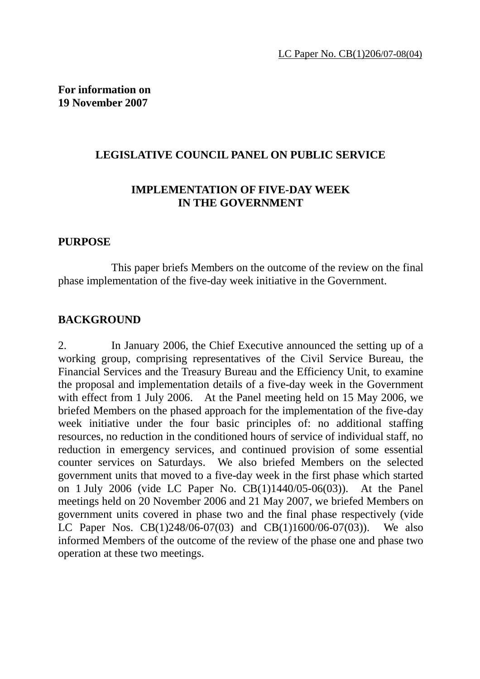## **LEGISLATIVE COUNCIL PANEL ON PUBLIC SERVICE**

## **IMPLEMENTATION OF FIVE-DAY WEEK IN THE GOVERNMENT**

#### **PURPOSE**

 This paper briefs Members on the outcome of the review on the final phase implementation of the five-day week initiative in the Government.

#### **BACKGROUND**

2. In January 2006, the Chief Executive announced the setting up of a working group, comprising representatives of the Civil Service Bureau, the Financial Services and the Treasury Bureau and the Efficiency Unit, to examine the proposal and implementation details of a five-day week in the Government with effect from 1 July 2006. At the Panel meeting held on 15 May 2006, we briefed Members on the phased approach for the implementation of the five-day week initiative under the four basic principles of: no additional staffing resources, no reduction in the conditioned hours of service of individual staff, no reduction in emergency services, and continued provision of some essential counter services on Saturdays. We also briefed Members on the selected government units that moved to a five-day week in the first phase which started on 1 July 2006 (vide LC Paper No. CB(1)1440/05-06(03)). At the Panel meetings held on 20 November 2006 and 21 May 2007, we briefed Members on government units covered in phase two and the final phase respectively (vide LC Paper Nos. CB(1)248/06-07(03) and CB(1)1600/06-07(03)). We also informed Members of the outcome of the review of the phase one and phase two operation at these two meetings.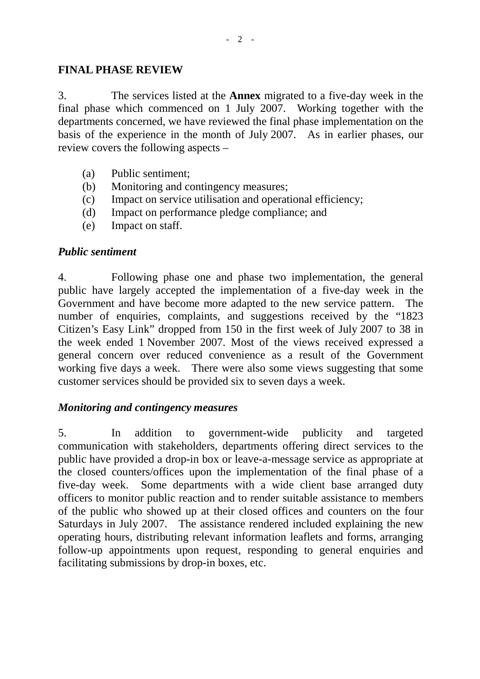## **FINAL PHASE REVIEW**

3. The services listed at the **Annex** migrated to a five-day week in the final phase which commenced on 1 July 2007. Working together with the departments concerned, we have reviewed the final phase implementation on the basis of the experience in the month of July 2007. As in earlier phases, our review covers the following aspects –

- (a) Public sentiment;
- (b) Monitoring and contingency measures;
- (c) Impact on service utilisation and operational efficiency;
- (d) Impact on performance pledge compliance; and
- (e) Impact on staff.

## *Public sentiment*

4. Following phase one and phase two implementation, the general public have largely accepted the implementation of a five-day week in the Government and have become more adapted to the new service pattern. The number of enquiries, complaints, and suggestions received by the "1823 Citizen's Easy Link" dropped from 150 in the first week of July 2007 to 38 in the week ended 1 November 2007. Most of the views received expressed a general concern over reduced convenience as a result of the Government working five days a week. There were also some views suggesting that some customer services should be provided six to seven days a week.

## *Monitoring and contingency measures*

5. In addition to government-wide publicity and targeted communication with stakeholders, departments offering direct services to the public have provided a drop-in box or leave-a-message service as appropriate at the closed counters/offices upon the implementation of the final phase of a five-day week. Some departments with a wide client base arranged duty officers to monitor public reaction and to render suitable assistance to members of the public who showed up at their closed offices and counters on the four Saturdays in July 2007. The assistance rendered included explaining the new operating hours, distributing relevant information leaflets and forms, arranging follow-up appointments upon request, responding to general enquiries and facilitating submissions by drop-in boxes, etc.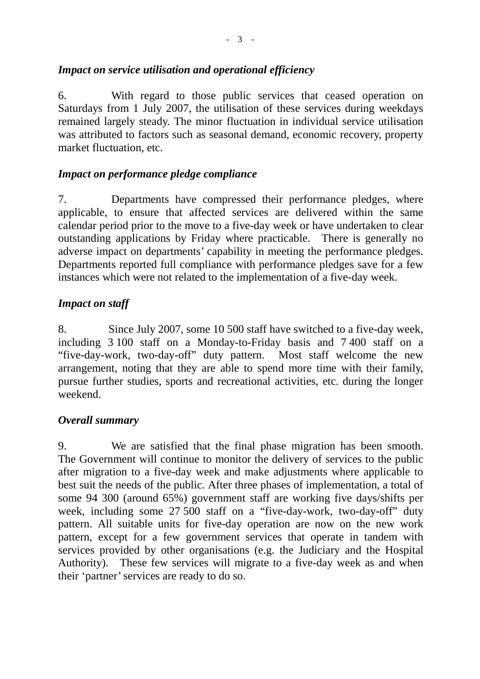## *Impact on service utilisation and operational efficiency*

6. With regard to those public services that ceased operation on Saturdays from 1 July 2007, the utilisation of these services during weekdays remained largely steady. The minor fluctuation in individual service utilisation was attributed to factors such as seasonal demand, economic recovery, property market fluctuation, etc.

## *Impact on performance pledge compliance*

7. Departments have compressed their performance pledges, where applicable, to ensure that affected services are delivered within the same calendar period prior to the move to a five-day week or have undertaken to clear outstanding applications by Friday where practicable. There is generally no adverse impact on departments' capability in meeting the performance pledges. Departments reported full compliance with performance pledges save for a few instances which were not related to the implementation of a five-day week.

## *Impact on staff*

8. Since July 2007, some 10 500 staff have switched to a five-day week, including 3 100 staff on a Monday-to-Friday basis and 7 400 staff on a "five-day-work, two-day-off" duty pattern. Most staff welcome the new arrangement, noting that they are able to spend more time with their family, pursue further studies, sports and recreational activities, etc. during the longer weekend.

## *Overall summary*

9. We are satisfied that the final phase migration has been smooth. The Government will continue to monitor the delivery of services to the public after migration to a five-day week and make adjustments where applicable to best suit the needs of the public. After three phases of implementation, a total of some 94 300 (around 65%) government staff are working five days/shifts per week, including some 27 500 staff on a "five-day-work, two-day-off" duty pattern. All suitable units for five-day operation are now on the new work pattern, except for a few government services that operate in tandem with services provided by other organisations (e.g. the Judiciary and the Hospital Authority). These few services will migrate to a five-day week as and when their 'partner' services are ready to do so.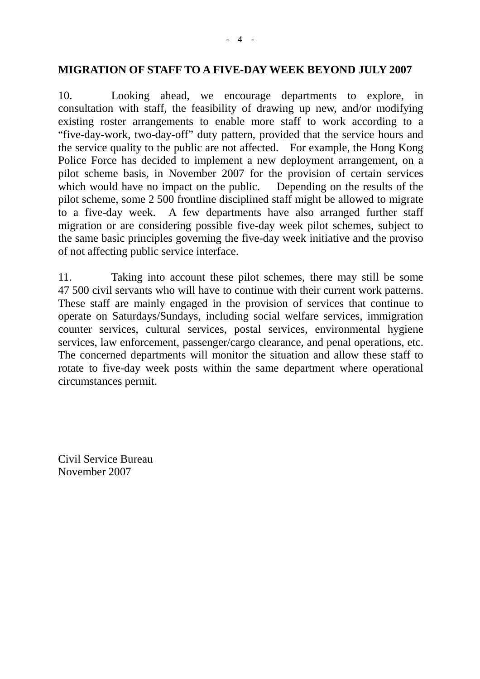#### **MIGRATION OF STAFF TO A FIVE-DAY WEEK BEYOND JULY 2007**

10. Looking ahead, we encourage departments to explore, in consultation with staff, the feasibility of drawing up new, and/or modifying existing roster arrangements to enable more staff to work according to a "five-day-work, two-day-off" duty pattern, provided that the service hours and the service quality to the public are not affected. For example, the Hong Kong Police Force has decided to implement a new deployment arrangement, on a pilot scheme basis, in November 2007 for the provision of certain services which would have no impact on the public. Depending on the results of the pilot scheme, some 2 500 frontline disciplined staff might be allowed to migrate to a five-day week. A few departments have also arranged further staff migration or are considering possible five-day week pilot schemes, subject to the same basic principles governing the five-day week initiative and the proviso of not affecting public service interface.

11. Taking into account these pilot schemes, there may still be some 47 500 civil servants who will have to continue with their current work patterns. These staff are mainly engaged in the provision of services that continue to operate on Saturdays/Sundays, including social welfare services, immigration counter services, cultural services, postal services, environmental hygiene services, law enforcement, passenger/cargo clearance, and penal operations, etc. The concerned departments will monitor the situation and allow these staff to rotate to five-day week posts within the same department where operational circumstances permit.

Civil Service Bureau November 2007